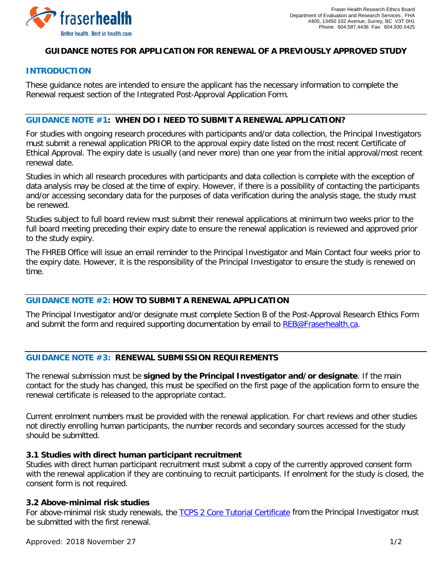

## **GUIDANCE NOTES FOR APPLICATION FOR RENEWAL OF A PREVIOUSLY APPROVED STUDY**

### **INTRODUCTION**

These guidance notes are intended to ensure the applicant has the necessary information to complete the Renewal request section of the Integrated Post-Approval Application Form.

## **GUIDANCE NOTE #1: WHEN DO I NEED TO SUBMIT A RENEWAL APPLICATION?**

For studies with ongoing research procedures with participants and/or data collection, the Principal Investigators must submit a renewal application PRIOR to the approval expiry date listed on the most recent Certificate of Ethical Approval. The expiry date is usually (and never more) than one year from the initial approval/most recent renewal date.

Studies in which all research procedures with participants and data collection is complete with the exception of data analysis may be closed at the time of expiry. However, if there is a possibility of contacting the participants and/or accessing secondary data for the purposes of data verification during the analysis stage, the study must be renewed.

Studies subject to full board review must submit their renewal applications at minimum two weeks prior to the full board meeting preceding their expiry date to ensure the renewal application is reviewed and approved prior to the study expiry.

The FHREB Office will issue an email reminder to the Principal Investigator and Main Contact four weeks prior to the expiry date. However, it is the responsibility of the Principal Investigator to ensure the study is renewed on time.

# **GUIDANCE NOTE #2: HOW TO SUBMIT A RENEWAL APPLICATION**

The Principal Investigator and/or designate must complete Section B of the Post-Approval Research Ethics Form and submit the form and required supporting documentation by email to [REB@Fraserhealth.ca.](mailto:REB@Fraserhealth.ca)

## **GUIDANCE NOTE #3: RENEWAL SUBMISSION REQUIREMENTS**

The renewal submission must be **signed by the Principal Investigator and/or designate**. If the main contact for the study has changed, this must be specified on the first page of the application form to ensure the renewal certificate is released to the appropriate contact.

Current enrolment numbers must be provided with the renewal application. For chart reviews and other studies not directly enrolling human participants, the number records and secondary sources accessed for the study should be submitted.

#### **3.1 Studies with direct human participant recruitment**

Studies with direct human participant recruitment must submit a copy of the currently approved consent form with the renewal application if they are continuing to recruit participants. If enrolment for the study is closed, the consent form is not required.

#### **3.2 Above-minimal risk studies**

For above-minimal risk study renewals, the [TCPS 2 Core Tutorial Certificate](https://tcps2core.ca/welcome) from the Principal Investigator must be submitted with the first renewal.